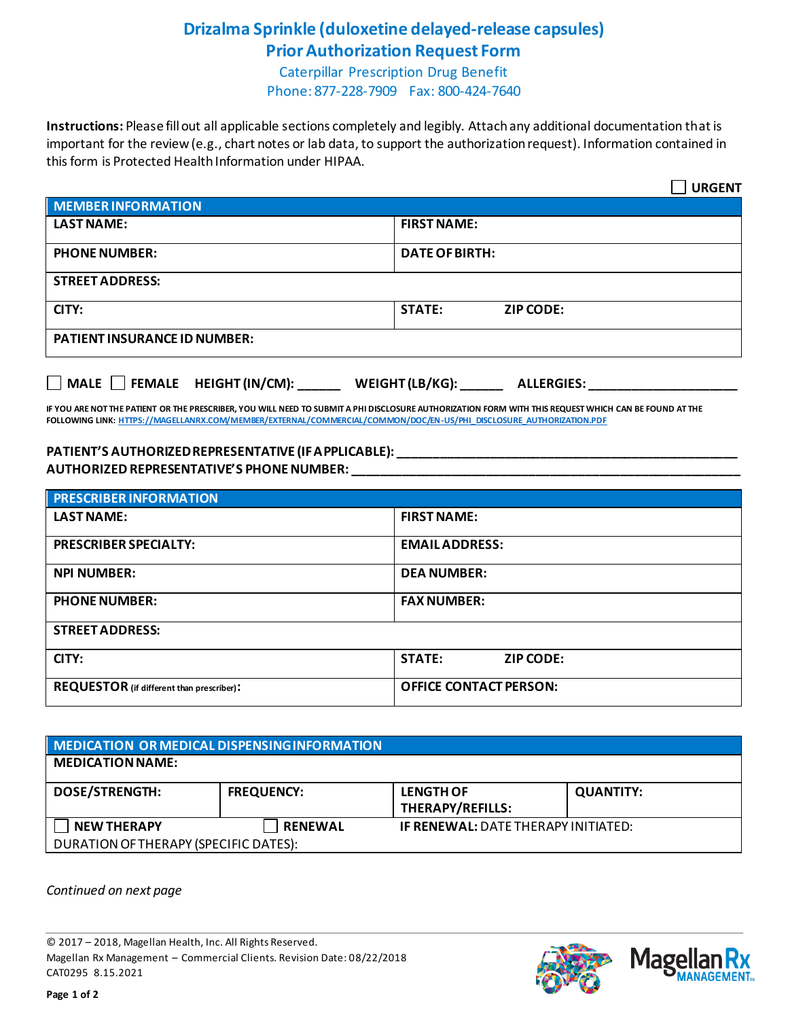## **Drizalma Sprinkle (duloxetine delayed-release capsules) Prior Authorization Request Form**

Caterpillar Prescription Drug Benefit Phone: 877-228-7909 Fax: 800-424-7640

**Instructions:** Please fill out all applicable sections completely and legibly. Attach any additional documentation that is important for the review (e.g., chart notes or lab data, to support the authorization request). Information contained in this form is Protected Health Information under HIPAA.

|                                                                                                                                                                                                                                                                              | <b>URGENT</b>              |  |  |  |
|------------------------------------------------------------------------------------------------------------------------------------------------------------------------------------------------------------------------------------------------------------------------------|----------------------------|--|--|--|
| <b>MEMBER INFORMATION</b>                                                                                                                                                                                                                                                    |                            |  |  |  |
| <b>LAST NAME:</b>                                                                                                                                                                                                                                                            | <b>FIRST NAME:</b>         |  |  |  |
| <b>PHONE NUMBER:</b>                                                                                                                                                                                                                                                         | <b>DATE OF BIRTH:</b>      |  |  |  |
| <b>STREET ADDRESS:</b>                                                                                                                                                                                                                                                       |                            |  |  |  |
| CITY:                                                                                                                                                                                                                                                                        | <b>STATE:</b><br>ZIP CODE: |  |  |  |
| <b>PATIENT INSURANCE ID NUMBER:</b>                                                                                                                                                                                                                                          |                            |  |  |  |
| MALE FEMALE HEIGHT (IN/CM): WEIGHT (LB/KG): ALLERGIES:                                                                                                                                                                                                                       |                            |  |  |  |
| IF YOU ARE NOT THE PATIENT OR THE PRESCRIBER, YOU WILL NEED TO SUBMIT A PHI DISCLOSURE AUTHORIZATION FORM WITH THIS REQUEST WHICH CAN BE FOUND AT THE<br>FOLLOWING LINK: HTTPS://MAGELLANRX.COM/MEMBER/EXTERNAL/COMMERCIAL/COMMON/DOC/EN-US/PHI DISCLOSURE AUTHORIZATION.PDF |                            |  |  |  |

## **PATIENT'S AUTHORIZED REPRESENTATIVE (IF APPLICABLE): \_\_\_\_\_\_\_\_\_\_\_\_\_\_\_\_\_\_\_\_\_\_\_\_\_\_\_\_\_\_\_\_\_\_\_\_\_\_\_\_\_\_\_\_\_\_\_\_ AUTHORIZED REPRESENTATIVE'S PHONE NUMBER: \_\_\_\_\_\_\_\_\_\_\_\_\_\_\_\_\_\_\_\_\_\_\_\_\_\_\_\_\_\_\_\_\_\_\_\_\_\_\_\_\_\_\_\_\_\_\_\_\_\_\_\_\_\_\_**

| <b>PRESCRIBER INFORMATION</b>             |                                   |  |
|-------------------------------------------|-----------------------------------|--|
| <b>LAST NAME:</b>                         | <b>FIRST NAME:</b>                |  |
| <b>PRESCRIBER SPECIALTY:</b>              | <b>EMAIL ADDRESS:</b>             |  |
| <b>NPI NUMBER:</b>                        | <b>DEA NUMBER:</b>                |  |
| <b>PHONE NUMBER:</b>                      | <b>FAX NUMBER:</b>                |  |
| <b>STREET ADDRESS:</b>                    |                                   |  |
| CITY:                                     | <b>STATE:</b><br><b>ZIP CODE:</b> |  |
| REQUESTOR (if different than prescriber): | <b>OFFICE CONTACT PERSON:</b>     |  |

| MEDICATION OR MEDICAL DISPENSING INFORMATION |                   |                                            |                  |  |  |
|----------------------------------------------|-------------------|--------------------------------------------|------------------|--|--|
| <b>MEDICATION NAME:</b>                      |                   |                                            |                  |  |  |
| <b>DOSE/STRENGTH:</b>                        | <b>FREQUENCY:</b> | <b>LENGTH OF</b><br>THERAPY/REFILLS:       | <b>QUANTITY:</b> |  |  |
| <b>NEW THERAPY</b>                           | <b>RENEWAL</b>    | <b>IF RENEWAL: DATE THERAPY INITIATED:</b> |                  |  |  |
| DURATION OF THERAPY (SPECIFIC DATES):        |                   |                                            |                  |  |  |

*Continued on next page*

© 2017 – 2018, Magellan Health, Inc. All Rights Reserved. Magellan Rx Management – Commercial Clients. Revision Date: 08/22/2018 CAT0295 8.15.2021